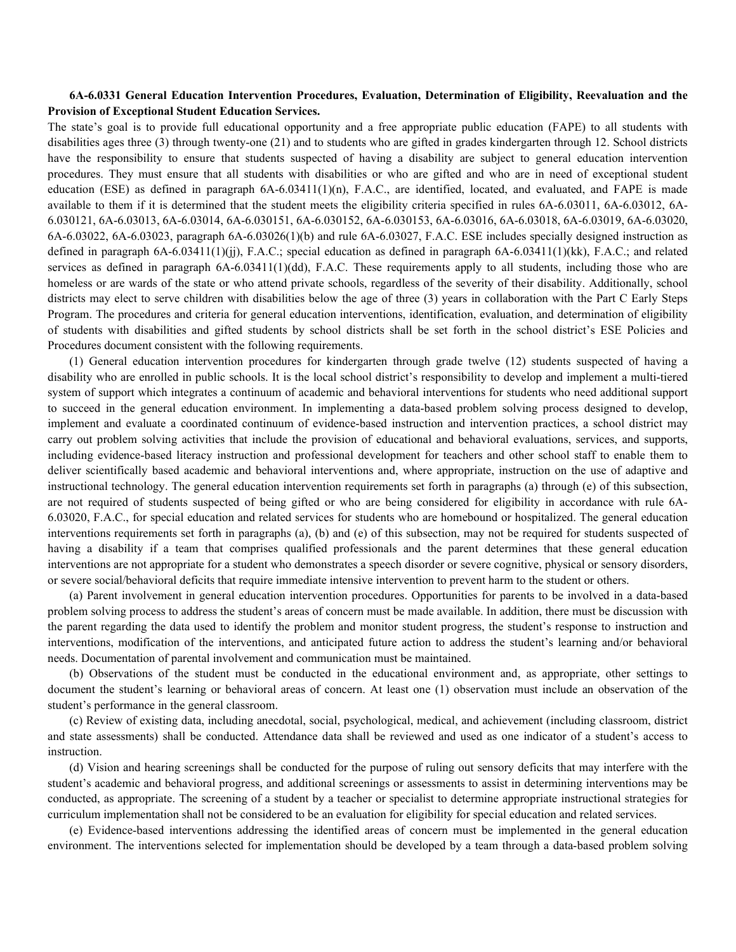## **6A-6.0331 General Education Intervention Procedures, Evaluation, Determination of Eligibility, Reevaluation and the Provision of Exceptional Student Education Services.**

The state's goal is to provide full educational opportunity and a free appropriate public education (FAPE) to all students with disabilities ages three (3) through twenty-one (21) and to students who are gifted in grades kindergarten through 12. School districts have the responsibility to ensure that students suspected of having a disability are subject to general education intervention procedures. They must ensure that all students with disabilities or who are gifted and who are in need of exceptional student education (ESE) as defined in paragraph 6A-6.03411(1)(n), F.A.C., are identified, located, and evaluated, and FAPE is made available to them if it is determined that the student meets the eligibility criteria specified in rules 6A-6.03011, 6A-6.03012, 6A-6.030121, 6A-6.03013, 6A-6.03014, 6A-6.030151, 6A-6.030152, 6A-6.030153, 6A-6.03016, 6A-6.03018, 6A-6.03019, 6A-6.03020, 6A-6.03022, 6A-6.03023, paragraph 6A-6.03026(1)(b) and rule 6A-6.03027, F.A.C. ESE includes specially designed instruction as defined in paragraph 6A-6.03411(1)(jj), F.A.C.; special education as defined in paragraph 6A-6.03411(1)(kk), F.A.C.; and related services as defined in paragraph  $6A-6.03411(1)(dd)$ , F.A.C. These requirements apply to all students, including those who are homeless or are wards of the state or who attend private schools, regardless of the severity of their disability. Additionally, school districts may elect to serve children with disabilities below the age of three (3) years in collaboration with the Part C Early Steps Program. The procedures and criteria for general education interventions, identification, evaluation, and determination of eligibility of students with disabilities and gifted students by school districts shall be set forth in the school district's ESE Policies and Procedures document consistent with the following requirements.

(1) General education intervention procedures for kindergarten through grade twelve (12) students suspected of having a disability who are enrolled in public schools. It is the local school district's responsibility to develop and implement a multi-tiered system of support which integrates a continuum of academic and behavioral interventions for students who need additional support to succeed in the general education environment. In implementing a data-based problem solving process designed to develop, implement and evaluate a coordinated continuum of evidence-based instruction and intervention practices, a school district may carry out problem solving activities that include the provision of educational and behavioral evaluations, services, and supports, including evidence-based literacy instruction and professional development for teachers and other school staff to enable them to deliver scientifically based academic and behavioral interventions and, where appropriate, instruction on the use of adaptive and instructional technology. The general education intervention requirements set forth in paragraphs (a) through (e) of this subsection, are not required of students suspected of being gifted or who are being considered for eligibility in accordance with rule 6A-6.03020, F.A.C., for special education and related services for students who are homebound or hospitalized. The general education interventions requirements set forth in paragraphs (a), (b) and (e) of this subsection, may not be required for students suspected of having a disability if a team that comprises qualified professionals and the parent determines that these general education interventions are not appropriate for a student who demonstrates a speech disorder or severe cognitive, physical or sensory disorders, or severe social/behavioral deficits that require immediate intensive intervention to prevent harm to the student or others.

(a) Parent involvement in general education intervention procedures. Opportunities for parents to be involved in a data-based problem solving process to address the student's areas of concern must be made available. In addition, there must be discussion with the parent regarding the data used to identify the problem and monitor student progress, the student's response to instruction and interventions, modification of the interventions, and anticipated future action to address the student's learning and/or behavioral needs. Documentation of parental involvement and communication must be maintained.

(b) Observations of the student must be conducted in the educational environment and, as appropriate, other settings to document the student's learning or behavioral areas of concern. At least one (1) observation must include an observation of the student's performance in the general classroom.

(c) Review of existing data, including anecdotal, social, psychological, medical, and achievement (including classroom, district and state assessments) shall be conducted. Attendance data shall be reviewed and used as one indicator of a student's access to instruction.

(d) Vision and hearing screenings shall be conducted for the purpose of ruling out sensory deficits that may interfere with the student's academic and behavioral progress, and additional screenings or assessments to assist in determining interventions may be conducted, as appropriate. The screening of a student by a teacher or specialist to determine appropriate instructional strategies for curriculum implementation shall not be considered to be an evaluation for eligibility for special education and related services.

(e) Evidence-based interventions addressing the identified areas of concern must be implemented in the general education environment. The interventions selected for implementation should be developed by a team through a data-based problem solving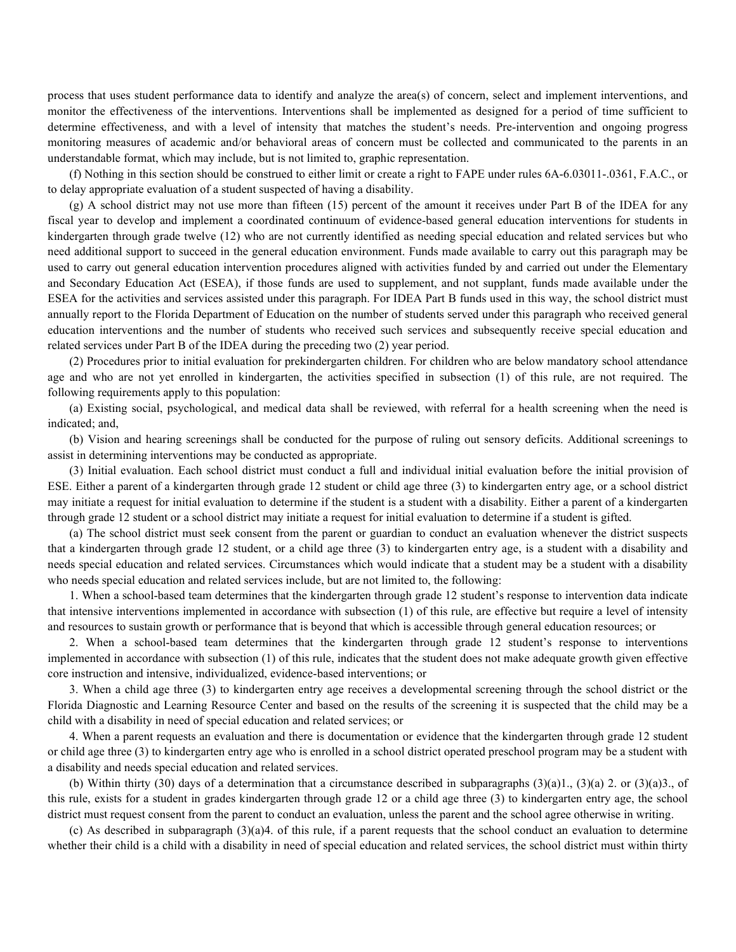process that uses student performance data to identify and analyze the area(s) of concern, select and implement interventions, and monitor the effectiveness of the interventions. Interventions shall be implemented as designed for a period of time sufficient to determine effectiveness, and with a level of intensity that matches the student's needs. Pre-intervention and ongoing progress monitoring measures of academic and/or behavioral areas of concern must be collected and communicated to the parents in an understandable format, which may include, but is not limited to, graphic representation.

(f) Nothing in this section should be construed to either limit or create a right to FAPE under rules 6A-6.03011-.0361, F.A.C., or to delay appropriate evaluation of a student suspected of having a disability.

(g) A school district may not use more than fifteen (15) percent of the amount it receives under Part B of the IDEA for any fiscal year to develop and implement a coordinated continuum of evidence-based general education interventions for students in kindergarten through grade twelve (12) who are not currently identified as needing special education and related services but who need additional support to succeed in the general education environment. Funds made available to carry out this paragraph may be used to carry out general education intervention procedures aligned with activities funded by and carried out under the Elementary and Secondary Education Act (ESEA), if those funds are used to supplement, and not supplant, funds made available under the ESEA for the activities and services assisted under this paragraph. For IDEA Part B funds used in this way, the school district must annually report to the Florida Department of Education on the number of students served under this paragraph who received general education interventions and the number of students who received such services and subsequently receive special education and related services under Part B of the IDEA during the preceding two (2) year period.

(2) Procedures prior to initial evaluation for prekindergarten children. For children who are below mandatory school attendance age and who are not yet enrolled in kindergarten, the activities specified in subsection (1) of this rule, are not required. The following requirements apply to this population:

(a) Existing social, psychological, and medical data shall be reviewed, with referral for a health screening when the need is indicated; and,

(b) Vision and hearing screenings shall be conducted for the purpose of ruling out sensory deficits. Additional screenings to assist in determining interventions may be conducted as appropriate.

(3) Initial evaluation. Each school district must conduct a full and individual initial evaluation before the initial provision of ESE. Either a parent of a kindergarten through grade 12 student or child age three (3) to kindergarten entry age, or a school district may initiate a request for initial evaluation to determine if the student is a student with a disability. Either a parent of a kindergarten through grade 12 student or a school district may initiate a request for initial evaluation to determine if a student is gifted.

(a) The school district must seek consent from the parent or guardian to conduct an evaluation whenever the district suspects that a kindergarten through grade 12 student, or a child age three (3) to kindergarten entry age, is a student with a disability and needs special education and related services. Circumstances which would indicate that a student may be a student with a disability who needs special education and related services include, but are not limited to, the following:

1. When a school-based team determines that the kindergarten through grade 12 student's response to intervention data indicate that intensive interventions implemented in accordance with subsection (1) of this rule, are effective but require a level of intensity and resources to sustain growth or performance that is beyond that which is accessible through general education resources; or

2. When a school-based team determines that the kindergarten through grade 12 student's response to interventions implemented in accordance with subsection (1) of this rule, indicates that the student does not make adequate growth given effective core instruction and intensive, individualized, evidence-based interventions; or

3. When a child age three (3) to kindergarten entry age receives a developmental screening through the school district or the Florida Diagnostic and Learning Resource Center and based on the results of the screening it is suspected that the child may be a child with a disability in need of special education and related services; or

4. When a parent requests an evaluation and there is documentation or evidence that the kindergarten through grade 12 student or child age three (3) to kindergarten entry age who is enrolled in a school district operated preschool program may be a student with a disability and needs special education and related services.

(b) Within thirty (30) days of a determination that a circumstance described in subparagraphs  $(3)(a)1$ .,  $(3)(a)2$ . or  $(3)(a)3$ ., of this rule, exists for a student in grades kindergarten through grade 12 or a child age three (3) to kindergarten entry age, the school district must request consent from the parent to conduct an evaluation, unless the parent and the school agree otherwise in writing.

(c) As described in subparagraph (3)(a)4. of this rule, if a parent requests that the school conduct an evaluation to determine whether their child is a child with a disability in need of special education and related services, the school district must within thirty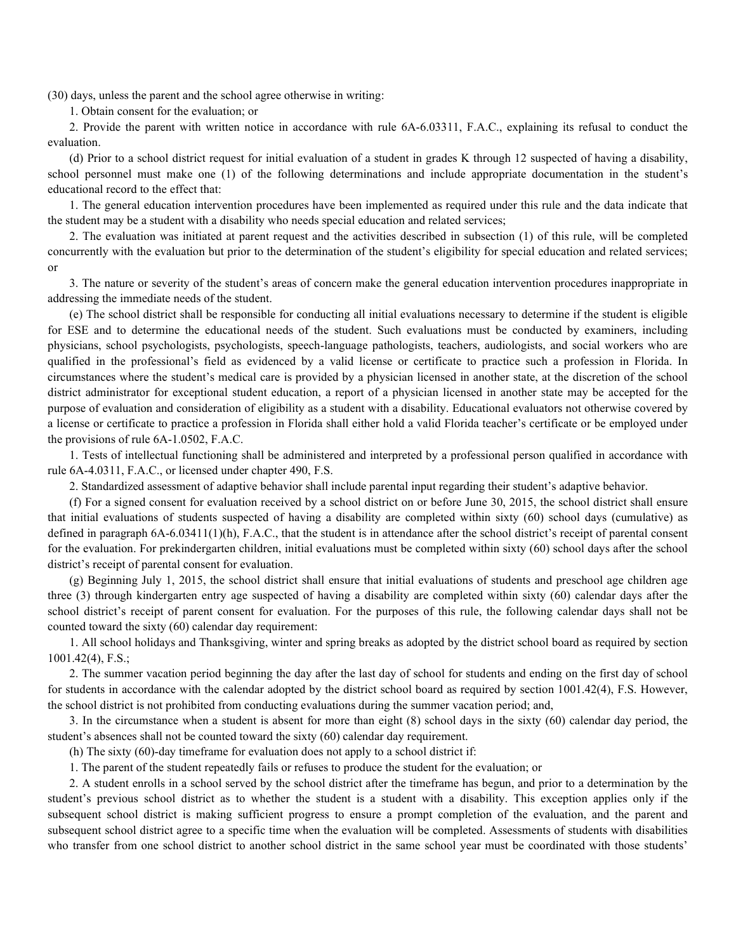(30) days, unless the parent and the school agree otherwise in writing:

1. Obtain consent for the evaluation; or

2. Provide the parent with written notice in accordance with rule 6A-6.03311, F.A.C., explaining its refusal to conduct the evaluation.

(d) Prior to a school district request for initial evaluation of a student in grades K through 12 suspected of having a disability, school personnel must make one (1) of the following determinations and include appropriate documentation in the student's educational record to the effect that:

1. The general education intervention procedures have been implemented as required under this rule and the data indicate that the student may be a student with a disability who needs special education and related services;

2. The evaluation was initiated at parent request and the activities described in subsection (1) of this rule, will be completed concurrently with the evaluation but prior to the determination of the student's eligibility for special education and related services; or

3. The nature or severity of the student's areas of concern make the general education intervention procedures inappropriate in addressing the immediate needs of the student.

(e) The school district shall be responsible for conducting all initial evaluations necessary to determine if the student is eligible for ESE and to determine the educational needs of the student. Such evaluations must be conducted by examiners, including physicians, school psychologists, psychologists, speech-language pathologists, teachers, audiologists, and social workers who are qualified in the professional's field as evidenced by a valid license or certificate to practice such a profession in Florida. In circumstances where the student's medical care is provided by a physician licensed in another state, at the discretion of the school district administrator for exceptional student education, a report of a physician licensed in another state may be accepted for the purpose of evaluation and consideration of eligibility as a student with a disability. Educational evaluators not otherwise covered by a license or certificate to practice a profession in Florida shall either hold a valid Florida teacher's certificate or be employed under the provisions of rule 6A-1.0502, F.A.C.

1. Tests of intellectual functioning shall be administered and interpreted by a professional person qualified in accordance with rule 6A-4.0311, F.A.C., or licensed under chapter 490, F.S.

2. Standardized assessment of adaptive behavior shall include parental input regarding their student's adaptive behavior.

(f) For a signed consent for evaluation received by a school district on or before June 30, 2015, the school district shall ensure that initial evaluations of students suspected of having a disability are completed within sixty (60) school days (cumulative) as defined in paragraph 6A-6.03411(1)(h), F.A.C., that the student is in attendance after the school district's receipt of parental consent for the evaluation. For prekindergarten children, initial evaluations must be completed within sixty (60) school days after the school district's receipt of parental consent for evaluation.

(g) Beginning July 1, 2015, the school district shall ensure that initial evaluations of students and preschool age children age three (3) through kindergarten entry age suspected of having a disability are completed within sixty (60) calendar days after the school district's receipt of parent consent for evaluation. For the purposes of this rule, the following calendar days shall not be counted toward the sixty (60) calendar day requirement:

1. All school holidays and Thanksgiving, winter and spring breaks as adopted by the district school board as required by section 1001.42(4), F.S.;

2. The summer vacation period beginning the day after the last day of school for students and ending on the first day of school for students in accordance with the calendar adopted by the district school board as required by section 1001.42(4), F.S. However, the school district is not prohibited from conducting evaluations during the summer vacation period; and,

3. In the circumstance when a student is absent for more than eight (8) school days in the sixty (60) calendar day period, the student's absences shall not be counted toward the sixty (60) calendar day requirement.

(h) The sixty (60)-day timeframe for evaluation does not apply to a school district if:

1. The parent of the student repeatedly fails or refuses to produce the student for the evaluation; or

2. A student enrolls in a school served by the school district after the timeframe has begun, and prior to a determination by the student's previous school district as to whether the student is a student with a disability. This exception applies only if the subsequent school district is making sufficient progress to ensure a prompt completion of the evaluation, and the parent and subsequent school district agree to a specific time when the evaluation will be completed. Assessments of students with disabilities who transfer from one school district to another school district in the same school year must be coordinated with those students'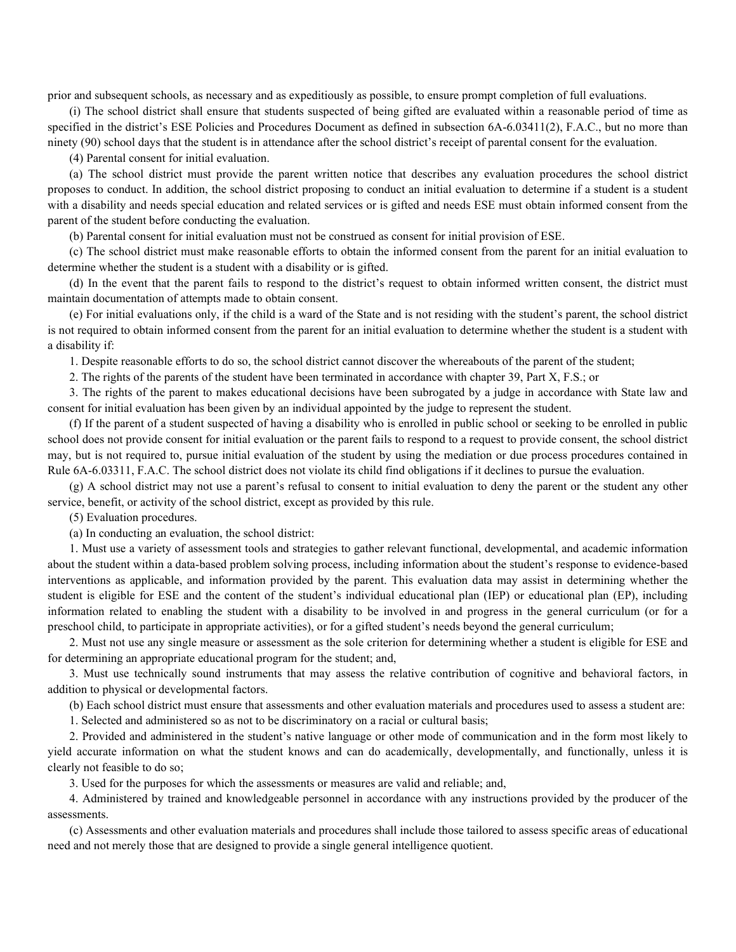prior and subsequent schools, as necessary and as expeditiously as possible, to ensure prompt completion of full evaluations.

(i) The school district shall ensure that students suspected of being gifted are evaluated within a reasonable period of time as specified in the district's ESE Policies and Procedures Document as defined in subsection 6A-6.03411(2), F.A.C., but no more than ninety (90) school days that the student is in attendance after the school district's receipt of parental consent for the evaluation.

(4) Parental consent for initial evaluation.

(a) The school district must provide the parent written notice that describes any evaluation procedures the school district proposes to conduct. In addition, the school district proposing to conduct an initial evaluation to determine if a student is a student with a disability and needs special education and related services or is gifted and needs ESE must obtain informed consent from the parent of the student before conducting the evaluation.

(b) Parental consent for initial evaluation must not be construed as consent for initial provision of ESE.

(c) The school district must make reasonable efforts to obtain the informed consent from the parent for an initial evaluation to determine whether the student is a student with a disability or is gifted.

(d) In the event that the parent fails to respond to the district's request to obtain informed written consent, the district must maintain documentation of attempts made to obtain consent.

(e) For initial evaluations only, if the child is a ward of the State and is not residing with the student's parent, the school district is not required to obtain informed consent from the parent for an initial evaluation to determine whether the student is a student with a disability if:

1. Despite reasonable efforts to do so, the school district cannot discover the whereabouts of the parent of the student;

2. The rights of the parents of the student have been terminated in accordance with chapter 39, Part X, F.S.; or

3. The rights of the parent to makes educational decisions have been subrogated by a judge in accordance with State law and consent for initial evaluation has been given by an individual appointed by the judge to represent the student.

(f) If the parent of a student suspected of having a disability who is enrolled in public school or seeking to be enrolled in public school does not provide consent for initial evaluation or the parent fails to respond to a request to provide consent, the school district may, but is not required to, pursue initial evaluation of the student by using the mediation or due process procedures contained in Rule 6A-6.03311, F.A.C. The school district does not violate its child find obligations if it declines to pursue the evaluation.

(g) A school district may not use a parent's refusal to consent to initial evaluation to deny the parent or the student any other service, benefit, or activity of the school district, except as provided by this rule.

(5) Evaluation procedures.

(a) In conducting an evaluation, the school district:

1. Must use a variety of assessment tools and strategies to gather relevant functional, developmental, and academic information about the student within a data-based problem solving process, including information about the student's response to evidence-based interventions as applicable, and information provided by the parent. This evaluation data may assist in determining whether the student is eligible for ESE and the content of the student's individual educational plan (IEP) or educational plan (EP), including information related to enabling the student with a disability to be involved in and progress in the general curriculum (or for a preschool child, to participate in appropriate activities), or for a gifted student's needs beyond the general curriculum;

2. Must not use any single measure or assessment as the sole criterion for determining whether a student is eligible for ESE and for determining an appropriate educational program for the student; and,

3. Must use technically sound instruments that may assess the relative contribution of cognitive and behavioral factors, in addition to physical or developmental factors.

(b) Each school district must ensure that assessments and other evaluation materials and procedures used to assess a student are:

1. Selected and administered so as not to be discriminatory on a racial or cultural basis;

2. Provided and administered in the student's native language or other mode of communication and in the form most likely to yield accurate information on what the student knows and can do academically, developmentally, and functionally, unless it is clearly not feasible to do so;

3. Used for the purposes for which the assessments or measures are valid and reliable; and,

4. Administered by trained and knowledgeable personnel in accordance with any instructions provided by the producer of the assessments.

(c) Assessments and other evaluation materials and procedures shall include those tailored to assess specific areas of educational need and not merely those that are designed to provide a single general intelligence quotient.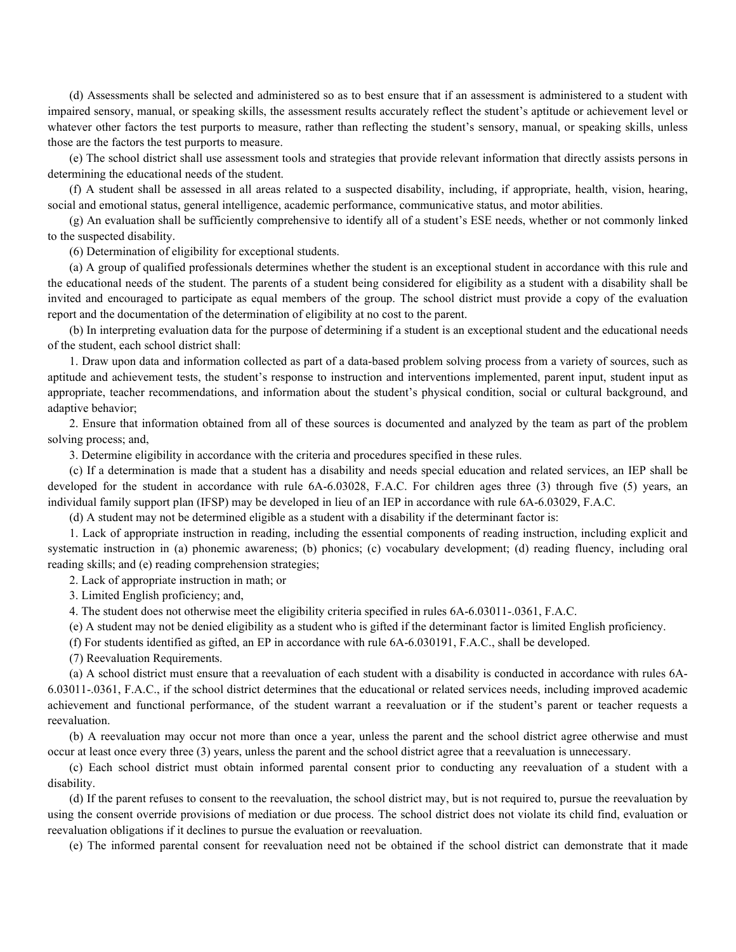(d) Assessments shall be selected and administered so as to best ensure that if an assessment is administered to a student with impaired sensory, manual, or speaking skills, the assessment results accurately reflect the student's aptitude or achievement level or whatever other factors the test purports to measure, rather than reflecting the student's sensory, manual, or speaking skills, unless those are the factors the test purports to measure.

(e) The school district shall use assessment tools and strategies that provide relevant information that directly assists persons in determining the educational needs of the student.

(f) A student shall be assessed in all areas related to a suspected disability, including, if appropriate, health, vision, hearing, social and emotional status, general intelligence, academic performance, communicative status, and motor abilities.

(g) An evaluation shall be sufficiently comprehensive to identify all of a student's ESE needs, whether or not commonly linked to the suspected disability.

(6) Determination of eligibility for exceptional students.

(a) A group of qualified professionals determines whether the student is an exceptional student in accordance with this rule and the educational needs of the student. The parents of a student being considered for eligibility as a student with a disability shall be invited and encouraged to participate as equal members of the group. The school district must provide a copy of the evaluation report and the documentation of the determination of eligibility at no cost to the parent.

(b) In interpreting evaluation data for the purpose of determining if a student is an exceptional student and the educational needs of the student, each school district shall:

1. Draw upon data and information collected as part of a data-based problem solving process from a variety of sources, such as aptitude and achievement tests, the student's response to instruction and interventions implemented, parent input, student input as appropriate, teacher recommendations, and information about the student's physical condition, social or cultural background, and adaptive behavior;

2. Ensure that information obtained from all of these sources is documented and analyzed by the team as part of the problem solving process; and,

3. Determine eligibility in accordance with the criteria and procedures specified in these rules.

(c) If a determination is made that a student has a disability and needs special education and related services, an IEP shall be developed for the student in accordance with rule 6A-6.03028, F.A.C. For children ages three (3) through five (5) years, an individual family support plan (IFSP) may be developed in lieu of an IEP in accordance with rule 6A-6.03029, F.A.C.

(d) A student may not be determined eligible as a student with a disability if the determinant factor is:

1. Lack of appropriate instruction in reading, including the essential components of reading instruction, including explicit and systematic instruction in (a) phonemic awareness; (b) phonics; (c) vocabulary development; (d) reading fluency, including oral reading skills; and (e) reading comprehension strategies;

2. Lack of appropriate instruction in math; or

3. Limited English proficiency; and,

4. The student does not otherwise meet the eligibility criteria specified in rules 6A-6.03011-.0361, F.A.C.

(e) A student may not be denied eligibility as a student who is gifted if the determinant factor is limited English proficiency.

(f) For students identified as gifted, an EP in accordance with rule 6A-6.030191, F.A.C., shall be developed.

(7) Reevaluation Requirements.

(a) A school district must ensure that a reevaluation of each student with a disability is conducted in accordance with rules 6A-6.03011-.0361, F.A.C., if the school district determines that the educational or related services needs, including improved academic achievement and functional performance, of the student warrant a reevaluation or if the student's parent or teacher requests a reevaluation.

(b) A reevaluation may occur not more than once a year, unless the parent and the school district agree otherwise and must occur at least once every three (3) years, unless the parent and the school district agree that a reevaluation is unnecessary.

(c) Each school district must obtain informed parental consent prior to conducting any reevaluation of a student with a disability.

(d) If the parent refuses to consent to the reevaluation, the school district may, but is not required to, pursue the reevaluation by using the consent override provisions of mediation or due process. The school district does not violate its child find, evaluation or reevaluation obligations if it declines to pursue the evaluation or reevaluation.

(e) The informed parental consent for reevaluation need not be obtained if the school district can demonstrate that it made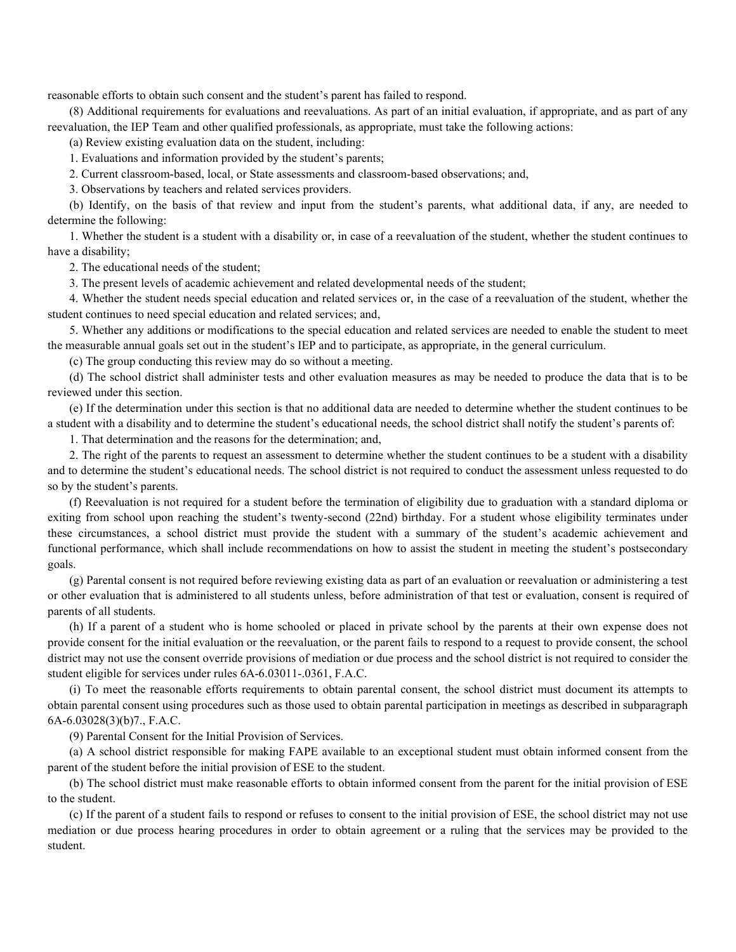reasonable efforts to obtain such consent and the student's parent has failed to respond.

(8) Additional requirements for evaluations and reevaluations. As part of an initial evaluation, if appropriate, and as part of any reevaluation, the IEP Team and other qualified professionals, as appropriate, must take the following actions:

(a) Review existing evaluation data on the student, including:

1. Evaluations and information provided by the student's parents;

2. Current classroom-based, local, or State assessments and classroom-based observations; and,

3. Observations by teachers and related services providers.

(b) Identify, on the basis of that review and input from the student's parents, what additional data, if any, are needed to determine the following:

1. Whether the student is a student with a disability or, in case of a reevaluation of the student, whether the student continues to have a disability;

2. The educational needs of the student;

3. The present levels of academic achievement and related developmental needs of the student;

4. Whether the student needs special education and related services or, in the case of a reevaluation of the student, whether the student continues to need special education and related services; and,

5. Whether any additions or modifications to the special education and related services are needed to enable the student to meet the measurable annual goals set out in the student's IEP and to participate, as appropriate, in the general curriculum.

(c) The group conducting this review may do so without a meeting.

(d) The school district shall administer tests and other evaluation measures as may be needed to produce the data that is to be reviewed under this section.

(e) If the determination under this section is that no additional data are needed to determine whether the student continues to be a student with a disability and to determine the student's educational needs, the school district shall notify the student's parents of:

1. That determination and the reasons for the determination; and,

2. The right of the parents to request an assessment to determine whether the student continues to be a student with a disability and to determine the student's educational needs. The school district is not required to conduct the assessment unless requested to do so by the student's parents.

(f) Reevaluation is not required for a student before the termination of eligibility due to graduation with a standard diploma or exiting from school upon reaching the student's twenty-second (22nd) birthday. For a student whose eligibility terminates under these circumstances, a school district must provide the student with a summary of the student's academic achievement and functional performance, which shall include recommendations on how to assist the student in meeting the student's postsecondary goals.

(g) Parental consent is not required before reviewing existing data as part of an evaluation or reevaluation or administering a test or other evaluation that is administered to all students unless, before administration of that test or evaluation, consent is required of parents of all students.

(h) If a parent of a student who is home schooled or placed in private school by the parents at their own expense does not provide consent for the initial evaluation or the reevaluation, or the parent fails to respond to a request to provide consent, the school district may not use the consent override provisions of mediation or due process and the school district is not required to consider the student eligible for services under rules 6A-6.03011-.0361, F.A.C.

(i) To meet the reasonable efforts requirements to obtain parental consent, the school district must document its attempts to obtain parental consent using procedures such as those used to obtain parental participation in meetings as described in subparagraph 6A-6.03028(3)(b)7., F.A.C.

(9) Parental Consent for the Initial Provision of Services.

(a) A school district responsible for making FAPE available to an exceptional student must obtain informed consent from the parent of the student before the initial provision of ESE to the student.

(b) The school district must make reasonable efforts to obtain informed consent from the parent for the initial provision of ESE to the student.

(c) If the parent of a student fails to respond or refuses to consent to the initial provision of ESE, the school district may not use mediation or due process hearing procedures in order to obtain agreement or a ruling that the services may be provided to the student.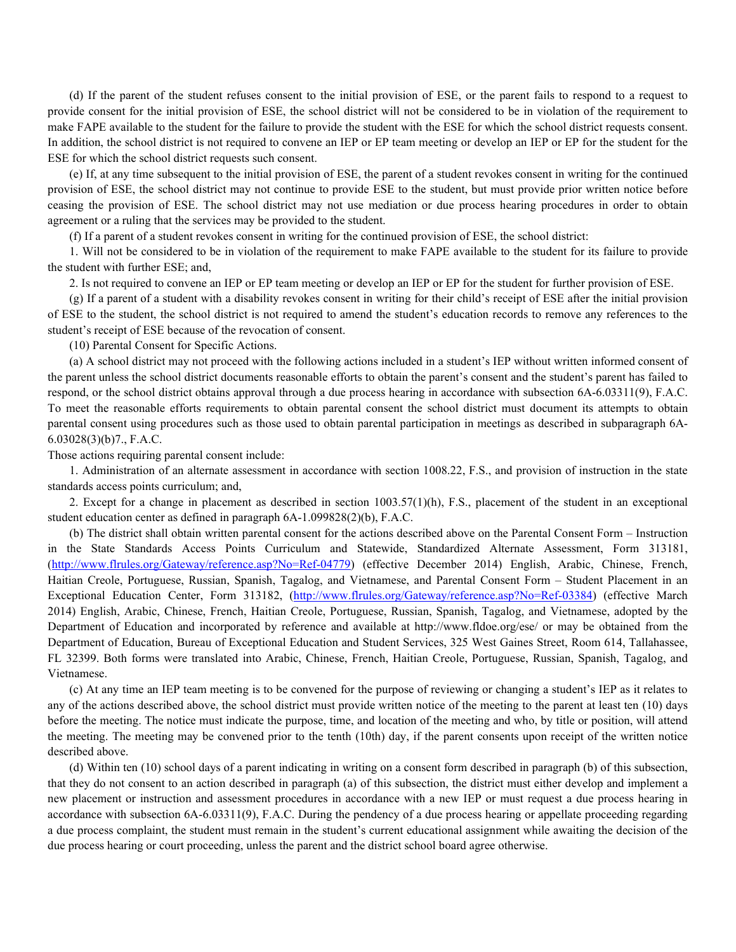(d) If the parent of the student refuses consent to the initial provision of ESE, or the parent fails to respond to a request to provide consent for the initial provision of ESE, the school district will not be considered to be in violation of the requirement to make FAPE available to the student for the failure to provide the student with the ESE for which the school district requests consent. In addition, the school district is not required to convene an IEP or EP team meeting or develop an IEP or EP for the student for the ESE for which the school district requests such consent.

(e) If, at any time subsequent to the initial provision of ESE, the parent of a student revokes consent in writing for the continued provision of ESE, the school district may not continue to provide ESE to the student, but must provide prior written notice before ceasing the provision of ESE. The school district may not use mediation or due process hearing procedures in order to obtain agreement or a ruling that the services may be provided to the student.

(f) If a parent of a student revokes consent in writing for the continued provision of ESE, the school district:

1. Will not be considered to be in violation of the requirement to make FAPE available to the student for its failure to provide the student with further ESE; and,

2. Is not required to convene an IEP or EP team meeting or develop an IEP or EP for the student for further provision of ESE.

(g) If a parent of a student with a disability revokes consent in writing for their child's receipt of ESE after the initial provision of ESE to the student, the school district is not required to amend the student's education records to remove any references to the student's receipt of ESE because of the revocation of consent.

(10) Parental Consent for Specific Actions.

(a) A school district may not proceed with the following actions included in a student's IEP without written informed consent of the parent unless the school district documents reasonable efforts to obtain the parent's consent and the student's parent has failed to respond, or the school district obtains approval through a due process hearing in accordance with subsection 6A-6.03311(9), F.A.C. To meet the reasonable efforts requirements to obtain parental consent the school district must document its attempts to obtain parental consent using procedures such as those used to obtain parental participation in meetings as described in subparagraph 6A-6.03028(3)(b)7., F.A.C.

Those actions requiring parental consent include:

1. Administration of an alternate assessment in accordance with section 1008.22, F.S., and provision of instruction in the state standards access points curriculum; and,

2. Except for a change in placement as described in section 1003.57(1)(h), F.S., placement of the student in an exceptional student education center as defined in paragraph 6A-1.099828(2)(b), F.A.C.

(b) The district shall obtain written parental consent for the actions described above on the Parental Consent Form – Instruction in the State Standards Access Points Curriculum and Statewide, Standardized Alternate Assessment, Form 313181, (http://www.flrules.org/Gateway/reference.asp?No=Ref-04779) (effective December 2014) English, Arabic, Chinese, French, Haitian Creole, Portuguese, Russian, Spanish, Tagalog, and Vietnamese, and Parental Consent Form – Student Placement in an Exceptional Education Center, Form 313182, (http://www.flrules.org/Gateway/reference.asp?No=Ref-03384) (effective March 2014) English, Arabic, Chinese, French, Haitian Creole, Portuguese, Russian, Spanish, Tagalog, and Vietnamese, adopted by the Department of Education and incorporated by reference and available at http://www.fldoe.org/ese/ or may be obtained from the Department of Education, Bureau of Exceptional Education and Student Services, 325 West Gaines Street, Room 614, Tallahassee, FL 32399. Both forms were translated into Arabic, Chinese, French, Haitian Creole, Portuguese, Russian, Spanish, Tagalog, and Vietnamese.

(c) At any time an IEP team meeting is to be convened for the purpose of reviewing or changing a student's IEP as it relates to any of the actions described above, the school district must provide written notice of the meeting to the parent at least ten (10) days before the meeting. The notice must indicate the purpose, time, and location of the meeting and who, by title or position, will attend the meeting. The meeting may be convened prior to the tenth (10th) day, if the parent consents upon receipt of the written notice described above.

(d) Within ten (10) school days of a parent indicating in writing on a consent form described in paragraph (b) of this subsection, that they do not consent to an action described in paragraph (a) of this subsection, the district must either develop and implement a new placement or instruction and assessment procedures in accordance with a new IEP or must request a due process hearing in accordance with subsection 6A-6.03311(9), F.A.C. During the pendency of a due process hearing or appellate proceeding regarding a due process complaint, the student must remain in the student's current educational assignment while awaiting the decision of the due process hearing or court proceeding, unless the parent and the district school board agree otherwise.